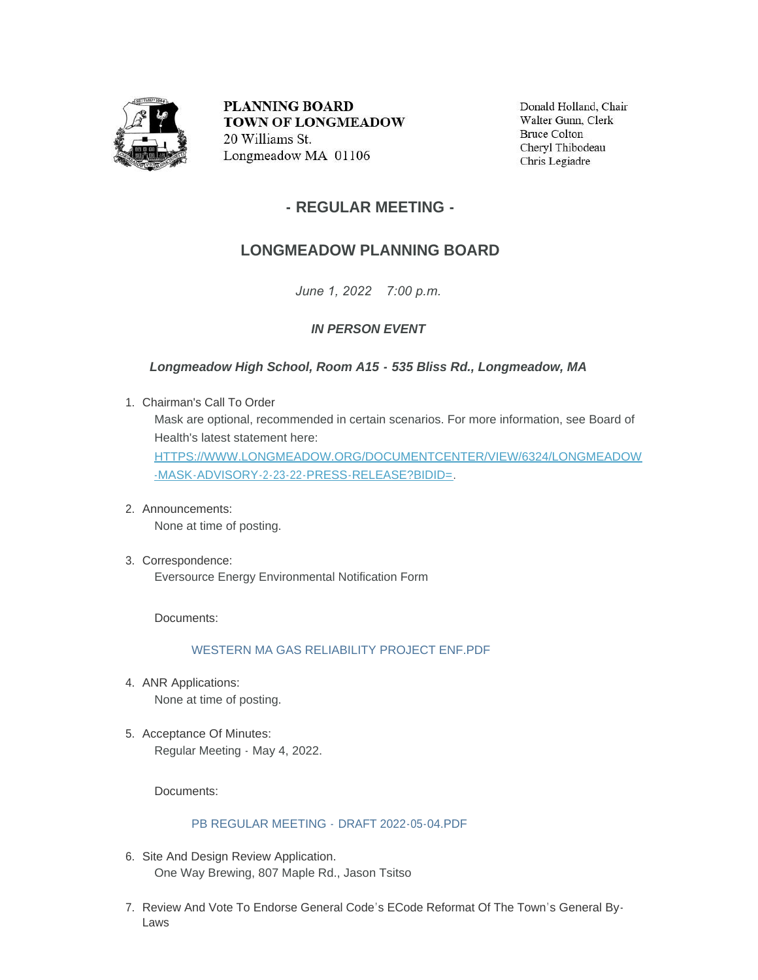

**PLANNING BOARD TOWN OF LONGMEADOW** 20 Williams St. Longmeadow MA 01106

Donald Holland, Chair Walter Gunn, Clerk **Bruce Colton** Cheryl Thibodeau Chris Legiadre

## **- REGULAR MEETING -**

# **LONGMEADOW PLANNING BOARD**

*June 1, 2022 7:00 p.m.*

### *IN PERSON EVENT*

### *Longmeadow High School, Room A15 - 535 Bliss Rd., Longmeadow, MA*

- Chairman's Call To Order 1. Mask are optional, recommended in certain scenarios. For more information, see Board of Health's latest statement here: [HTTPS://WWW.LONGMEADOW.ORG/DOCUMENTCENTER/VIEW/6324/LONGMEADOW](https://www.longmeadow.org/DocumentCenter/View/6324/Longmeadow-Mask-Advisory-2-23-22-Press-Release?bidId=) -MASK-ADVISORY-2-23-22-PRESS-RELEASE?BIDID=.
- Announcements: 2. None at time of posting.
- Correspondence: 3. Eversource Energy Environmental Notification Form

Documents:

#### [WESTERN MA GAS RELIABILITY PROJECT ENF.PDF](https://www.longmeadow.org/AgendaCenter/ViewFile/Item/2362?fileID=23102)

- 4. ANR Applications: None at time of posting.
- 5. Acceptance Of Minutes: Regular Meeting - May 4, 2022.

Documents:

### [PB REGULAR MEETING -](https://www.longmeadow.org/AgendaCenter/ViewFile/Item/2363?fileID=23103) DRAFT 2022-05-04.PDF

- 6. Site And Design Review Application. One Way Brewing, 807 Maple Rd., Jason Tsitso
- 7. Review And Vote To Endorse General Code's ECode Reformat Of The Town's General By-Laws